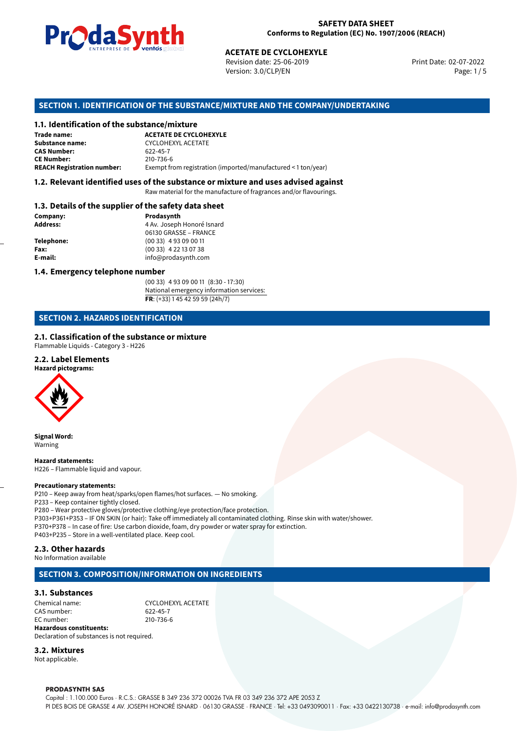

Revision date: 25-06-2019 Version: 3.0/CLP/EN Page: 1 / 5

Print Date: 02-07-2022

# **SECTION 1. IDENTIFICATION OF THE SUBSTANCE/MIXTURE AND THE COMPANY/UNDERTAKING**

# **1.1. Identification of the substance/mixture**

|                                              | LIVING PLUG CHILDS SUSSESSION<br><b>ACETATE DE CYCLOHEXYLE</b><br>Revision date: 25-06-2019<br>Version: 3.0/CLP/EN |
|----------------------------------------------|--------------------------------------------------------------------------------------------------------------------|
|                                              | SECTION 1. IDENTIFICATION OF THE SUBSTANCE/MIXTURE AND THE COMPANY/U                                               |
| 1.1. Identification of the substance/mixture |                                                                                                                    |
| Trade name:                                  | <b>ACETATE DE CYCLOHEXYLE</b>                                                                                      |
| <b>Substance name:</b>                       | <b>CYCLOHEXYL ACETATE</b>                                                                                          |
| <b>CAS Number:</b>                           | 622-45-7                                                                                                           |
| <b>CE Number:</b>                            | 210-736-6                                                                                                          |
| <b>REACH Registration number:</b>            | Exempt from registration (imported/manufactured < 1 ton/year)                                                      |
|                                              |                                                                                                                    |

# **1.2. Relevant identified uses of the substance or mixture and uses advised against**

Raw material for the manufacture of fragrances and/or flavourings.

#### **1.3. Details of the supplier of the safety data sheet**

| Company:          | Prodasynth                 |  |
|-------------------|----------------------------|--|
| <b>Address:</b>   | 4 Av. Joseph Honoré Isnard |  |
|                   | 06130 GRASSE - FRANCE      |  |
| <b>Telephone:</b> | $(0033)$ 4 93 09 00 11     |  |
| Fax:              | $(0033)$ 4 22 13 07 38     |  |
| E-mail:           | info@prodasynth.com        |  |
|                   |                            |  |

# **1.4. Emergency telephone number**

(00 33) 4 93 09 00 11 (8:30 - 17:30) National emergency information services: **FR**: (+33) 1 45 42 59 59 (24h/7)

# **SECTION 2. HAZARDS IDENTIFICATION**

# **2.1. Classification of the substance or mixture**

Flammable Liquids - Category 3 - H226

#### **2.2. Label Elements**

**Hazard pictograms:**



**Signal Word:** Warning

**Hazard statements:** H226 – Flammable liquid and vapour.

#### **Precautionary statements:**

P210 – Keep away from heat/sparks/open flames/hot surfaces. — No smoking. P233 – Keep container tightly closed. P280 – Wear protective gloves/protective clothing/eye protection/face protection. P303+P361+P353 – IF ON SKIN (or hair): Take off immediately all contaminated clothing. Rinse skin with water/shower. P370+P378 – In case of fire: Use carbon dioxide, foam, dry powder or water spray for extinction. P403+P235 – Store in a well-ventilated place. Keep cool.

# **2.3. Other hazards**

No Information available

# **SECTION 3. COMPOSITION/INFORMATION ON INGREDIENTS**

# **3.1. Substances**

CHEMICAL NAME:<br>
CAS number: CAS number: 622-45-7 CAS number: EC number: 210-736-6 **Hazardous constituents:** Declaration of substances is not required.

**3.2. Mixtures**

Not applicable.

#### **PRODASYNTH SAS**

Capital : 1.100.000 Euros · R.C.S.: GRASSE B 349 236 372 00026 TVA FR 03 349 236 372 APE 2053 Z PI DES BOIS DE GRASSE 4 AV. JOSEPH HONORÉ ISNARD · 06130 GRASSE · FRANCE · Tel: +33 0493090011 · Fax: +33 0422130738 · e-mail: info@prodasynth.com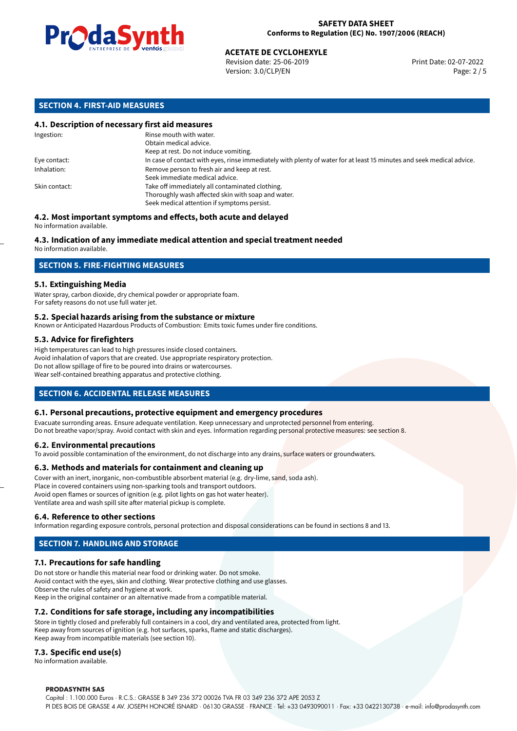

# **ACETATE DE CYCLOHEXYLE**<br>
Revision date: 25-06-2019<br> **Print Date: 02-07-2022**

Revision date: 25-06-2019 Version: 3.0/CLP/EN Page: 2 / 5

# **SECTION 4. FIRST-AID MEASURES**

# **4.1. Description of necessary first aid measures**

| Ingestion:    | Rinse mouth with water.<br>Obtain medical advice.                                                                     |
|---------------|-----------------------------------------------------------------------------------------------------------------------|
|               | Keep at rest. Do not induce vomiting.                                                                                 |
| Eye contact:  | In case of contact with eyes, rinse immediately with plenty of water for at least 15 minutes and seek medical advice. |
| Inhalation:   | Remove person to fresh air and keep at rest.                                                                          |
|               | Seek immediate medical advice.                                                                                        |
| Skin contact: | Take off immediately all contaminated clothing.                                                                       |
|               | Thoroughly wash affected skin with soap and water.                                                                    |
|               | Seek medical attention if symptoms persist.                                                                           |

#### **4.2. Most important symptoms and effects, both acute and delayed** No information available.

# **4.3. Indication of any immediate medical attention and special treatment needed**

No information available.

# **SECTION 5. FIRE-FIGHTING MEASURES**

# **5.1. Extinguishing Media**

Water spray, carbon dioxide, dry chemical powder or appropriate foam. For safety reasons do not use full water jet.

#### **5.2. Special hazards arising from the substance or mixture**

Known or Anticipated Hazardous Products of Combustion: Emits toxic fumes under fire conditions.

# **5.3. Advice for firefighters**

High temperatures can lead to high pressures inside closed containers. Avoid inhalation of vapors that are created. Use appropriate respiratory protection. Do not allow spillage of fire to be poured into drains or watercourses. Wear self-contained breathing apparatus and protective clothing.

# **SECTION 6. ACCIDENTAL RELEASE MEASURES**

# **6.1. Personal precautions, protective equipment and emergency procedures**

Evacuate surronding areas. Ensure adequate ventilation. Keep unnecessary and unprotected personnel from entering. Do not breathe vapor/spray. Avoid contact with skin and eyes. Information regarding personal protective measures: see section 8.

#### **6.2. Environmental precautions**

To avoid possible contamination of the environment, do not discharge into any drains, surface waters or groundwaters.

#### **6.3. Methods and materials for containment and cleaning up**

Cover with an inert, inorganic, non-combustible absorbent material (e.g. dry-lime, sand, soda ash). Place in covered containers using non-sparking tools and transport outdoors. Avoid open flames or sources of ignition (e.g. pilot lights on gas hot water heater). Ventilate area and wash spill site after material pickup is complete.

#### **6.4. Reference to other sections**

Information regarding exposure controls, personal protection and disposal considerations can be found in sections 8 and 13.

# **SECTION 7. HANDLING AND STORAGE**

# **7.1. Precautions for safe handling**

Do not store or handle this material near food or drinking water. Do not smoke. Avoid contact with the eyes, skin and clothing. Wear protective clothing and use glasses. Observe the rules of safety and hygiene at work. Keep in the original container or an alternative made from a compatible material.

# **7.2. Conditions for safe storage, including any incompatibilities**

Store in tightly closed and preferably full containers in a cool, dry and ventilated area, protected from light. Keep away from sources of ignition (e.g. hot surfaces, sparks, flame and static discharges). Keep away from incompatible materials (see section 10).

# **7.3. Specific end use(s)**

No information available.

#### **PRODASYNTH SAS**

Capital : 1.100.000 Euros · R.C.S.: GRASSE B 349 236 372 00026 TVA FR 03 349 236 372 APE 2053 Z PI DES BOIS DE GRASSE 4 AV. JOSEPH HONORÉ ISNARD · 06130 GRASSE · FRANCE · Tel: +33 0493090011 · Fax: +33 0422130738 · e-mail: info@prodasynth.com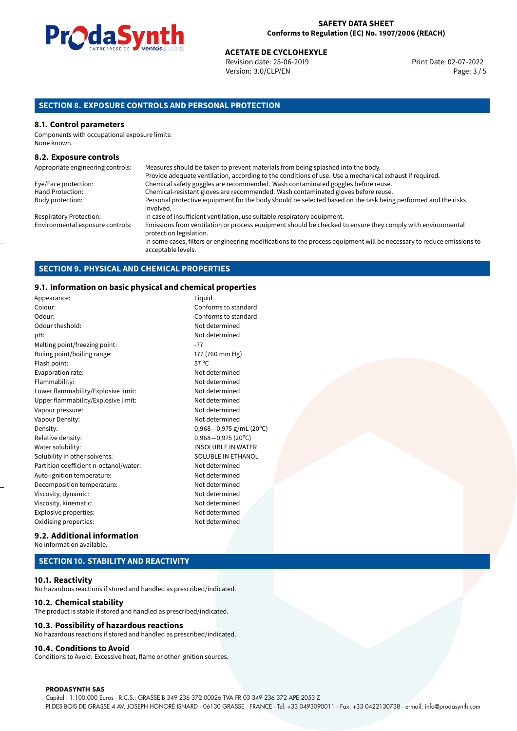

# **ACETATE DE CYCLOHEXYLE**<br>
Revision date: 25-06-2019<br> **Print Date: 02-07-2022**

Revision date: 25-06-2019 Version: 3.0/CLP/EN Page: 3 / 5

# **SECTION 8. EXPOSURE CONTROLS AND PERSONAL PROTECTION**

#### **8.1. Control parameters**

Components with occupational exposure limits: None known.

#### **8.2. Exposure controls**

| Appropriate engineering controls: | Measures should be taken to prevent materials from being splashed into the body.                                                            |
|-----------------------------------|---------------------------------------------------------------------------------------------------------------------------------------------|
|                                   | Provide adequate ventilation, according to the conditions of use. Use a mechanical exhaust if required.                                     |
| Eye/Face protection:              | Chemical safety goggles are recommended. Wash contaminated goggles before reuse.                                                            |
| Hand Protection:                  | Chemical-resistant gloves are recommended. Wash contaminated gloves before reuse.                                                           |
| Body protection:                  | Personal protective equipment for the body should be selected based on the task being performed and the risks<br>involved.                  |
| <b>Respiratory Protection:</b>    | In case of insufficient ventilation, use suitable respiratory equipment.                                                                    |
| Environmental exposure controls:  | Emissions from ventilation or process equipment should be checked to ensure they comply with environmental<br>protection legislation.       |
|                                   | In some cases, filters or engineering modifications to the process equipment will be necessary to reduce emissions to<br>acceptable levels. |

# **SECTION 9. PHYSICAL AND CHEMICAL PROPERTIES**

#### **9.1. Information on basic physical and chemical properties**

| Appearance:                            | Liquid                       |
|----------------------------------------|------------------------------|
| Colour:                                | Conforms to standard         |
| Odour:                                 | Conforms to standard         |
| Odour theshold:                        | Not determined               |
| pH:                                    | Not determined               |
| Melting point/freezing point:          | $-77$                        |
| Boling point/boiling range:            | 177 (760 mm Hg)              |
| Flash point:                           | $57^{\circ}$ C               |
| Evaporation rate:                      | Not determined               |
| Flammability:                          | Not determined               |
| Lower flammability/Explosive limit:    | Not determined               |
| Upper flammability/Explosive limit:    | Not determined               |
| Vapour pressure:                       | Not determined               |
| Vapour Density:                        | Not determined               |
| Density:                               | 0,968-0,975 g/mL (20°C)      |
| Relative density:                      | $0,968 - 0,975(20^{\circ}C)$ |
| Water solubility:                      | <b>INSOLUBLE IN WATER</b>    |
| Solubility in other solvents:          | SOLUBLE IN ETHANOL           |
| Partition coefficient n-octanol/water: | Not determined               |
| Auto-ignition temperature:             | Not determined               |
| Decomposition temperature:             | Not determined               |
| Viscosity, dynamic:                    | Not determined               |
| Viscosity, kinematic:                  | Not determined               |
| Explosive properties:                  | Not determined               |
| Oxidising properties:                  | Not determined               |
|                                        |                              |

#### **9.2. Additional information** No information available.

# **SECTION 10. STABILITY AND REACTIVITY**

#### **10.1. Reactivity**

No hazardous reactions if stored and handled as prescribed/indicated.

# **10.2. Chemical stability**

The product is stable if stored and handled as prescribed/indicated.

#### **10.3. Possibility of hazardous reactions**

No hazardous reactions if stored and handled as prescribed/indicated.

#### **10.4. Conditions to Avoid**

Conditions to Avoid: Excessive heat, flame or other ignition sources.

#### **PRODASYNTH SAS**

Capital : 1.100.000 Euros · R.C.S.: GRASSE B 349 236 372 00026 TVA FR 03 349 236 372 APE 2053 Z PI DES BOIS DE GRASSE 4 AV. JOSEPH HONORÉ ISNARD · 06130 GRASSE · FRANCE · Tel: +33 0493090011 · Fax: +33 0422130738 · e-mail: info@prodasynth.com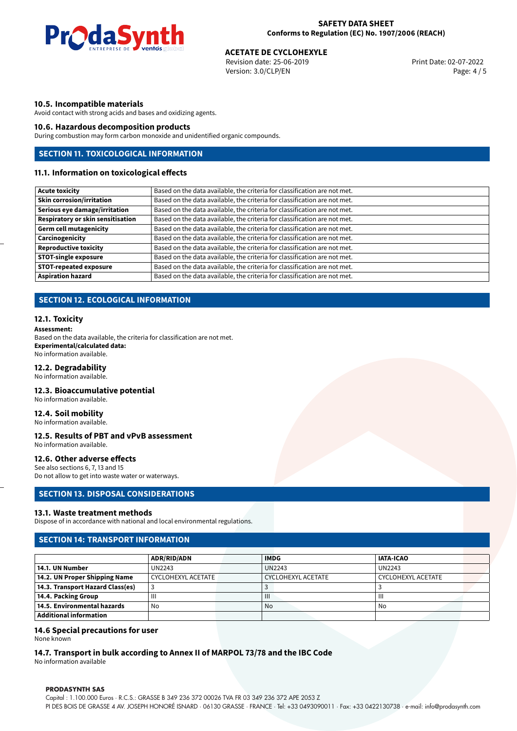

# **ACETATE DE CYCLOHEXYLE**<br>
Revision date: 25-06-2019<br> **Print Date: 02-07-2022**

Revision date: 25-06-2019 Version: 3.0/CLP/EN Page: 4 / 5

# **10.5. Incompatible materials**

Avoid contact with strong acids and bases and oxidizing agents.

#### **10.6. Hazardous decomposition products**

During combustion may form carbon monoxide and unidentified organic compounds.

# **SECTION 11. TOXICOLOGICAL INFORMATION**

#### **11.1. Information on toxicological effects**

| Based on the data available, the criteria for classification are not met. |
|---------------------------------------------------------------------------|
| Based on the data available, the criteria for classification are not met. |
| Based on the data available, the criteria for classification are not met. |
| Based on the data available, the criteria for classification are not met. |
| Based on the data available, the criteria for classification are not met. |
| Based on the data available, the criteria for classification are not met. |
| Based on the data available, the criteria for classification are not met. |
| Based on the data available, the criteria for classification are not met. |
| Based on the data available, the criteria for classification are not met. |
| Based on the data available, the criteria for classification are not met. |
|                                                                           |

# **SECTION 12. ECOLOGICAL INFORMATION**

#### **12.1. Toxicity**

**Assessment:** Based on the data available, the criteria for classification are not met. **Experimental/calculated data:** No information available.

#### **12.2. Degradability**

No information available.

#### **12.3. Bioaccumulative potential**

No information available.

# **12.4. Soil mobility**

No information available.

#### **12.5. Results of PBT and vPvB assessment**

No information available.

# **12.6. Other adverse effects**

See also sections 6, 7, 13 and 15 Do not allow to get into waste water or waterways.

#### **SECTION 13. DISPOSAL CONSIDERATIONS**

#### **13.1. Waste treatment methods**

Dispose of in accordance with national and local environmental regulations.

# **SECTION 14: TRANSPORT INFORMATION**

|                                  | <b>ADR/RID/ADN</b> | <b>IMDG</b>        | <b>IATA-ICAO</b>          |
|----------------------------------|--------------------|--------------------|---------------------------|
| 14.1. UN Number                  | UN2243             | <b>UN2243</b>      | <b>UN2243</b>             |
| 14.2. UN Proper Shipping Name    | CYCLOHEXYL ACETATE | CYCLOHEXYL ACETATE | <b>CYCLOHEXYL ACETATE</b> |
| 14.3. Transport Hazard Class(es) |                    |                    |                           |
| 14.4. Packing Group              | Ш                  | $\mathbf{III}$     | Ш                         |
| 14.5. Environmental hazards      | No                 | No                 | No                        |
| Additional information           |                    |                    |                           |

# **14.6 Special precautions for user**

None known

# **14.7. Transport in bulk according to Annex II of MARPOL 73/78 and the IBC Code**

No information available

#### **PRODASYNTH SAS**